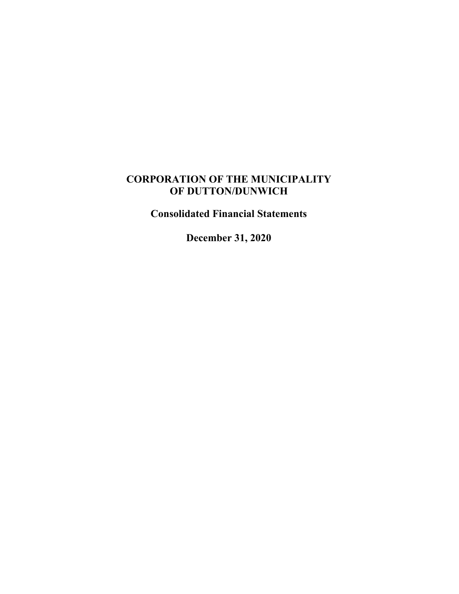## **CORPORATION OF THE MUNICIPALITY OF DUTTON/DUNWICH**

**Consolidated Financial Statements**

**December 31, 2020**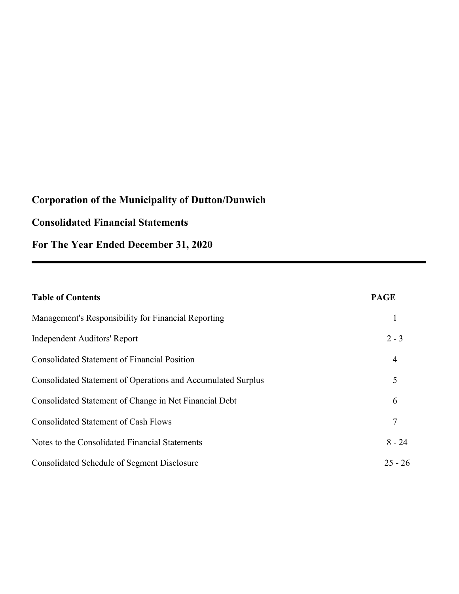## **Consolidated Financial Statements**

**For The Year Ended December 31, 2020**

| <b>Table of Contents</b>                                     | <b>PAGE</b>    |
|--------------------------------------------------------------|----------------|
| Management's Responsibility for Financial Reporting          | 1              |
| Independent Auditors' Report                                 | $2 - 3$        |
| <b>Consolidated Statement of Financial Position</b>          | $\overline{4}$ |
| Consolidated Statement of Operations and Accumulated Surplus | 5              |
| Consolidated Statement of Change in Net Financial Debt       | 6              |
| <b>Consolidated Statement of Cash Flows</b>                  | 7              |
| Notes to the Consolidated Financial Statements               | $8 - 24$       |
| Consolidated Schedule of Segment Disclosure                  | $25 - 26$      |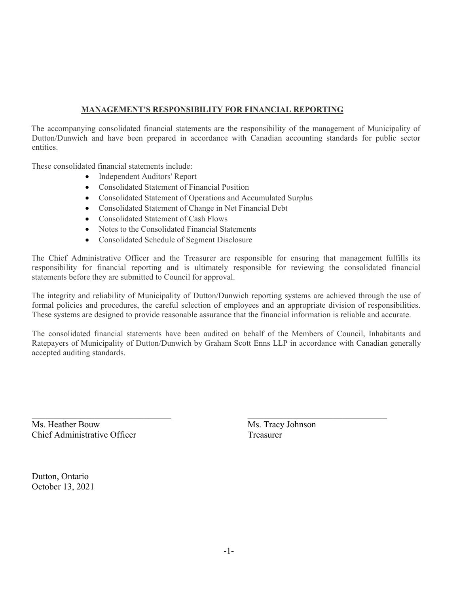### **MANAGEMENT'S RESPONSIBILITY FOR FINANCIAL REPORTING**

The accompanying consolidated financial statements are the responsibility of the management of Municipality of Dutton/Dunwich and have been prepared in accordance with Canadian accounting standards for public sector entities.

These consolidated financial statements include:

- Independent Auditors' Report
- Consolidated Statement of Financial Position
- Consolidated Statement of Operations and Accumulated Surplus
- Consolidated Statement of Change in Net Financial Debt
- Consolidated Statement of Cash Flows
- Notes to the Consolidated Financial Statements
- Consolidated Schedule of Segment Disclosure

The Chief Administrative Officer and the Treasurer are responsible for ensuring that management fulfills its responsibility for financial reporting and is ultimately responsible for reviewing the consolidated financial statements before they are submitted to Council for approval.

The integrity and reliability of Municipality of Dutton/Dunwich reporting systems are achieved through the use of formal policies and procedures, the careful selection of employees and an appropriate division of responsibilities. These systems are designed to provide reasonable assurance that the financial information is reliable and accurate.

The consolidated financial statements have been audited on behalf of the Members of Council, Inhabitants and Ratepayers of Municipality of Dutton/Dunwich by Graham Scott Enns LLP in accordance with Canadian generally accepted auditing standards.

Ms. Heather Bouw Ms. Tracy Johnson Chief Administrative Officer Treasurer

Dutton, Ontario October 13, 2021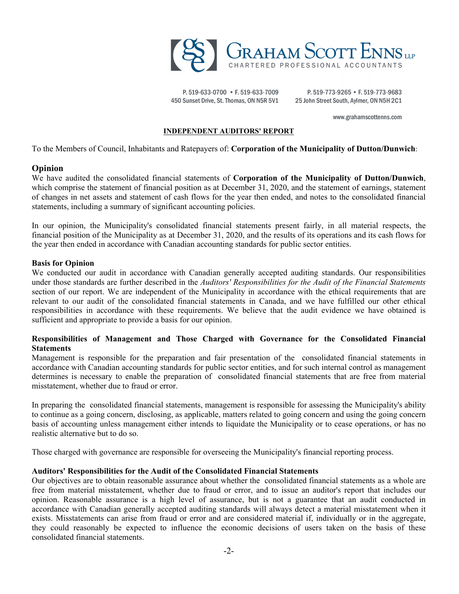

P.519-633-0700 • F.519-633-7009 450 Sunset Drive, St. Thomas, ON N5R 5V1

P. 519-773-9265 • F. 519-773-9683 25 John Street South, Aylmer, ON N5H 2C1

www.grahamscottenns.com

#### **INDEPENDENT AUDITORS' REPORT**

To the Members of Council, Inhabitants and Ratepayers of: **Corporation of the Municipality of Dutton/Dunwich**:

#### **Opinion**

We have audited the consolidated financial statements of **Corporation of the Municipality of Dutton/Dunwich**, which comprise the statement of financial position as at December 31, 2020, and the statement of earnings, statement of changes in net assets and statement of cash flows for the year then ended, and notes to the consolidated financial statements, including a summary of significant accounting policies.

In our opinion, the Municipality's consolidated financial statements present fairly, in all material respects, the financial position of the Municipality as at December 31, 2020, and the results of its operations and its cash flows for the year then ended in accordance with Canadian accounting standards for public sector entities.

#### **Basis for Opinion**

We conducted our audit in accordance with Canadian generally accepted auditing standards. Our responsibilities under those standards are further described in the *Auditors' Responsibilities for the Audit of the Financial Statements* section of our report. We are independent of the Municipality in accordance with the ethical requirements that are relevant to our audit of the consolidated financial statements in Canada, and we have fulfilled our other ethical responsibilities in accordance with these requirements. We believe that the audit evidence we have obtained is sufficient and appropriate to provide a basis for our opinion.

#### **Responsibilities of Management and Those Charged with Governance for the Consolidated Financial Statements**

Management is responsible for the preparation and fair presentation of the consolidated financial statements in accordance with Canadian accounting standards for public sector entities, and for such internal control as management determines is necessary to enable the preparation of consolidated financial statements that are free from material misstatement, whether due to fraud or error.

In preparing the consolidated financial statements, management is responsible for assessing the Municipality's ability to continue as a going concern, disclosing, as applicable, matters related to going concern and using the going concern basis of accounting unless management either intends to liquidate the Municipality or to cease operations, or has no realistic alternative but to do so.

Those charged with governance are responsible for overseeing the Municipality's financial reporting process.

#### **Auditors' Responsibilities for the Audit of the Consolidated Financial Statements**

Our objectives are to obtain reasonable assurance about whether the consolidated financial statements as a whole are free from material misstatement, whether due to fraud or error, and to issue an auditor's report that includes our opinion. Reasonable assurance is a high level of assurance, but is not a guarantee that an audit conducted in accordance with Canadian generally accepted auditing standards will always detect a material misstatement when it exists. Misstatements can arise from fraud or error and are considered material if, individually or in the aggregate, they could reasonably be expected to influence the economic decisions of users taken on the basis of these consolidated financial statements.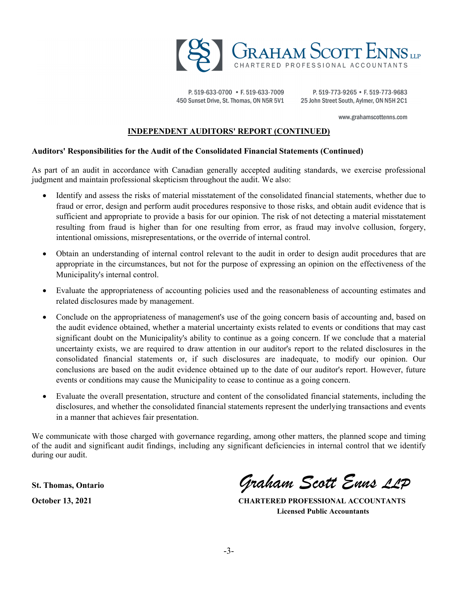

P.519-633-0700 • F.519-633-7009 450 Sunset Drive, St. Thomas, ON N5R 5V1

P. 519-773-9265 • F. 519-773-9683 25 John Street South, Aylmer, ON N5H 2C1

www.grahamscottenns.com

#### **INDEPENDENT AUDITORS' REPORT (CONTINUED)**

#### **Auditors' Responsibilities for the Audit of the Consolidated Financial Statements (Continued)**

As part of an audit in accordance with Canadian generally accepted auditing standards, we exercise professional judgment and maintain professional skepticism throughout the audit. We also:

- Identify and assess the risks of material misstatement of the consolidated financial statements, whether due to fraud or error, design and perform audit procedures responsive to those risks, and obtain audit evidence that is sufficient and appropriate to provide a basis for our opinion. The risk of not detecting a material misstatement resulting from fraud is higher than for one resulting from error, as fraud may involve collusion, forgery, intentional omissions, misrepresentations, or the override of internal control.
- Obtain an understanding of internal control relevant to the audit in order to design audit procedures that are appropriate in the circumstances, but not for the purpose of expressing an opinion on the effectiveness of the Municipality's internal control.
- Evaluate the appropriateness of accounting policies used and the reasonableness of accounting estimates and related disclosures made by management.
- Conclude on the appropriateness of management's use of the going concern basis of accounting and, based on the audit evidence obtained, whether a material uncertainty exists related to events or conditions that may cast significant doubt on the Municipality's ability to continue as a going concern. If we conclude that a material uncertainty exists, we are required to draw attention in our auditor's report to the related disclosures in the consolidated financial statements or, if such disclosures are inadequate, to modify our opinion. Our conclusions are based on the audit evidence obtained up to the date of our auditor's report. However, future events or conditions may cause the Municipality to cease to continue as a going concern.
- Evaluate the overall presentation, structure and content of the consolidated financial statements, including the disclosures, and whether the consolidated financial statements represent the underlying transactions and events in a manner that achieves fair presentation.

We communicate with those charged with governance regarding, among other matters, the planned scope and timing of the audit and significant audit findings, including any significant deficiencies in internal control that we identify during our audit.

**St. Thomas, Ontario** *Graham Scott Enns LLP*

**October 13, 2021 CHARTERED PROFESSIONAL ACCOUNTANTS Licensed Public Accountants**

-3-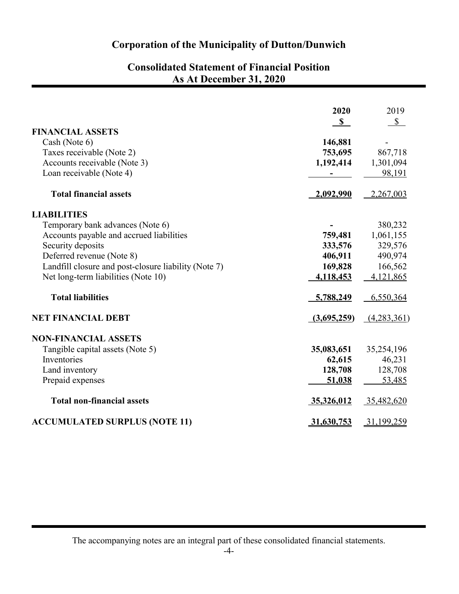## **Consolidated Statement of Financial Position As At December 31, 2020**

|                                                      | 2020        | 2019         |
|------------------------------------------------------|-------------|--------------|
| <b>FINANCIAL ASSETS</b>                              | $\mathbf S$ | $\mathbb{S}$ |
| Cash (Note 6)                                        | 146,881     |              |
| Taxes receivable (Note 2)                            | 753,695     | 867,718      |
| Accounts receivable (Note 3)                         | 1,192,414   | 1,301,094    |
| Loan receivable (Note 4)                             |             | 98,191       |
| <b>Total financial assets</b>                        | 2,092,990   | 2,267,003    |
| <b>LIABILITIES</b>                                   |             |              |
| Temporary bank advances (Note 6)                     |             | 380,232      |
| Accounts payable and accrued liabilities             | 759,481     | 1,061,155    |
| Security deposits                                    | 333,576     | 329,576      |
| Deferred revenue (Note 8)                            | 406,911     | 490,974      |
| Landfill closure and post-closure liability (Note 7) | 169,828     | 166,562      |
| Net long-term liabilities (Note 10)                  | 4,118,453   | 4,121,865    |
| <b>Total liabilities</b>                             | 5,788,249   | 6,550,364    |
| <b>NET FINANCIAL DEBT</b>                            | (3,695,259) | (4,283,361)  |
| <b>NON-FINANCIAL ASSETS</b>                          |             |              |
| Tangible capital assets (Note 5)                     | 35,083,651  | 35,254,196   |
| Inventories                                          | 62,615      | 46,231       |
| Land inventory                                       | 128,708     | 128,708      |
| Prepaid expenses                                     | 51,038      | 53,485       |
| <b>Total non-financial assets</b>                    | 35,326,012  | 35,482,620   |
| <b>ACCUMULATED SURPLUS (NOTE 11)</b>                 | 31,630,753  | 31,199,259   |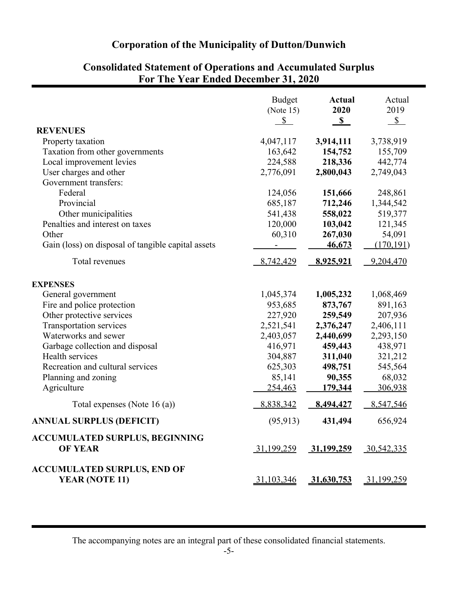|                                                                                                                                                                                                                                                                                                           | <b>Budget</b><br>(Note $15$ )<br>$\mathbb{S}$                                                                                | <b>Actual</b><br>2020<br>$\mathbb{S}$                                                                                               | Actual<br>2019<br>$\mathbb{S}$                                                                                               |
|-----------------------------------------------------------------------------------------------------------------------------------------------------------------------------------------------------------------------------------------------------------------------------------------------------------|------------------------------------------------------------------------------------------------------------------------------|-------------------------------------------------------------------------------------------------------------------------------------|------------------------------------------------------------------------------------------------------------------------------|
| <b>REVENUES</b><br>Property taxation<br>Taxation from other governments<br>Local improvement levies<br>User charges and other<br>Government transfers:<br>Federal<br>Provincial<br>Other municipalities<br>Penalties and interest on taxes<br>Other<br>Gain (loss) on disposal of tangible capital assets | 4,047,117<br>163,642<br>224,588<br>2,776,091<br>124,056<br>685,187<br>541,438<br>120,000<br>60,310                           | 3,914,111<br>154,752<br>218,336<br>2,800,043<br>151,666<br>712,246<br>558,022<br>103,042<br>267,030<br>46,673                       | 3,738,919<br>155,709<br>442,774<br>2,749,043<br>248,861<br>1,344,542<br>519,377<br>121,345<br>54,091<br>(170, 191)           |
| Total revenues<br><b>EXPENSES</b><br>General government<br>Fire and police protection<br>Other protective services<br>Transportation services<br>Waterworks and sewer<br>Garbage collection and disposal<br>Health services<br>Recreation and cultural services<br>Planning and zoning<br>Agriculture     | 8,742,429<br>1,045,374<br>953,685<br>227,920<br>2,521,541<br>2,403,057<br>416,971<br>304,887<br>625,303<br>85,141<br>254,463 | 8,925,921<br>1,005,232<br>873,767<br>259,549<br>2,376,247<br>2,440,699<br>459,443<br>311,040<br>498,751<br>90,355<br><u>179,344</u> | 9,204,470<br>1,068,469<br>891,163<br>207,936<br>2,406,111<br>2,293,150<br>438,971<br>321,212<br>545,564<br>68,032<br>306,938 |
| Total expenses (Note 16 (a))<br><b>ANNUAL SURPLUS (DEFICIT)</b><br><b>ACCUMULATED SURPLUS, BEGINNING</b><br><b>OF YEAR</b>                                                                                                                                                                                | 8,838,342<br>(95, 913)<br>31,199,259                                                                                         | 8,494,427<br>431,494<br>31,199,259 30,542,335                                                                                       | 8,547,546<br>656,924                                                                                                         |
| <b>ACCUMULATED SURPLUS, END OF</b><br>YEAR (NOTE 11)                                                                                                                                                                                                                                                      | 31,103,346                                                                                                                   | 31,630,753 31,199,259                                                                                                               |                                                                                                                              |

## **Consolidated Statement of Operations and Accumulated Surplus For The Year Ended December 31, 2020**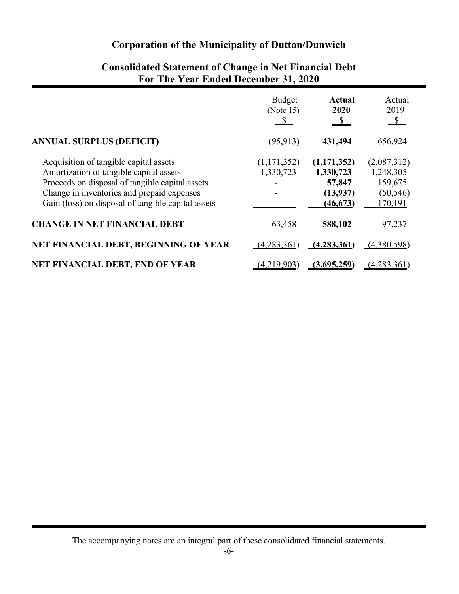|                                                    | <b>Budget</b><br>(Note $15$ )<br>\$ | <b>Actual</b><br>2020<br>$\mathbf{s}$ | Actual<br>2019<br>$\mathcal{S}$ |
|----------------------------------------------------|-------------------------------------|---------------------------------------|---------------------------------|
| <b>ANNUAL SURPLUS (DEFICIT)</b>                    | (95, 913)                           | 431,494                               | 656,924                         |
| Acquisition of tangible capital assets             | (1,171,352)                         | (1,171,352)                           | (2,087,312)                     |
| Amortization of tangible capital assets            | 1,330,723                           | 1,330,723                             | 1,248,305                       |
| Proceeds on disposal of tangible capital assets    |                                     | 57,847                                | 159,675                         |
| Change in inventories and prepaid expenses         |                                     | (13,937)                              | (50, 546)                       |
| Gain (loss) on disposal of tangible capital assets |                                     | (46, 673)                             | 170,191                         |
| <b>CHANGE IN NET FINANCIAL DEBT</b>                | 63,458                              | 588,102                               | 97,237                          |
| NET FINANCIAL DEBT, BEGINNING OF YEAR              | (4,283,361)                         | (4,283,361)                           | (4,380,598)                     |
| <b>NET FINANCIAL DEBT, END OF YEAR</b>             | (4,219,903)                         | (3,695,259)                           | (4,283,361)                     |

## **Consolidated Statement of Change in Net Financial Debt For The Year Ended December 31, 2020**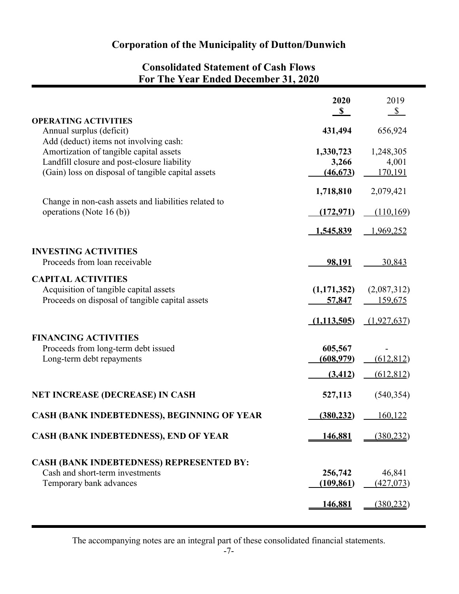## **Consolidated Statement of Cash Flows For The Year Ended December 31, 2020**

|                                                                                                                                                                                        | 2020<br>$\mathbf{s}$                    | 2019<br>$\mathbb{S}$              |
|----------------------------------------------------------------------------------------------------------------------------------------------------------------------------------------|-----------------------------------------|-----------------------------------|
| <b>OPERATING ACTIVITIES</b><br>Annual surplus (deficit)                                                                                                                                | 431,494                                 | 656,924                           |
| Add (deduct) items not involving cash:<br>Amortization of tangible capital assets<br>Landfill closure and post-closure liability<br>(Gain) loss on disposal of tangible capital assets | 1,330,723<br>3,266<br>(46, 673)         | 1,248,305<br>4,001<br>170,191     |
|                                                                                                                                                                                        | 1,718,810                               | 2,079,421                         |
| Change in non-cash assets and liabilities related to<br>operations (Note 16 (b))                                                                                                       | (172, 971)                              | (110,169)                         |
|                                                                                                                                                                                        | 1,545,839                               | 1,969,252                         |
| <b>INVESTING ACTIVITIES</b><br>Proceeds from loan receivable                                                                                                                           | 98,191                                  | 30,843                            |
| <b>CAPITAL ACTIVITIES</b><br>Acquisition of tangible capital assets<br>Proceeds on disposal of tangible capital assets                                                                 | (1,171,352)<br>57,847                   | (2,087,312)<br><u>159,675</u>     |
|                                                                                                                                                                                        | (1,113,505)                             | (1,927,637)                       |
| <b>FINANCING ACTIVITIES</b><br>Proceeds from long-term debt issued<br>Long-term debt repayments                                                                                        | 605,567<br><u>(608,979)</u><br>(3, 412) | (612, 812)<br>(612, 812)          |
| <b>NET INCREASE (DECREASE) IN CASH</b>                                                                                                                                                 | 527,113                                 | (540, 354)                        |
| CASH (BANK INDEBTEDNESS), BEGINNING OF YEAR                                                                                                                                            | (380, 232)                              | 160,122                           |
| <b>CASH (BANK INDEBTEDNESS), END OF YEAR</b>                                                                                                                                           | 146,881                                 | (380, 232)                        |
| <b>CASH (BANK INDEBTEDNESS) REPRESENTED BY:</b><br>Cash and short-term investments<br>Temporary bank advances                                                                          | 256,742<br>(109, 861)<br>146,881        | 46,841<br>(427,073)<br>(380, 232) |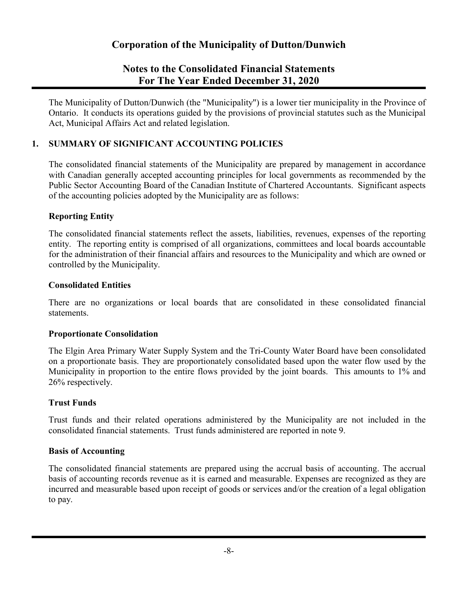## **Notes to the Consolidated Financial Statements For The Year Ended December 31, 2020**

The Municipality of Dutton/Dunwich (the "Municipality") is a lower tier municipality in the Province of Ontario. It conducts its operations guided by the provisions of provincial statutes such as the Municipal Act, Municipal Affairs Act and related legislation.

### **1. SUMMARY OF SIGNIFICANT ACCOUNTING POLICIES**

The consolidated financial statements of the Municipality are prepared by management in accordance with Canadian generally accepted accounting principles for local governments as recommended by the Public Sector Accounting Board of the Canadian Institute of Chartered Accountants. Significant aspects of the accounting policies adopted by the Municipality are as follows:

### **Reporting Entity**

The consolidated financial statements reflect the assets, liabilities, revenues, expenses of the reporting entity. The reporting entity is comprised of all organizations, committees and local boards accountable for the administration of their financial affairs and resources to the Municipality and which are owned or controlled by the Municipality.

### **Consolidated Entities**

There are no organizations or local boards that are consolidated in these consolidated financial statements.

### **Proportionate Consolidation**

The Elgin Area Primary Water Supply System and the Tri-County Water Board have been consolidated on a proportionate basis. They are proportionately consolidated based upon the water flow used by the Municipality in proportion to the entire flows provided by the joint boards. This amounts to 1% and 26% respectively.

### **Trust Funds**

Trust funds and their related operations administered by the Municipality are not included in the consolidated financial statements. Trust funds administered are reported in note 9.

### **Basis of Accounting**

The consolidated financial statements are prepared using the accrual basis of accounting. The accrual basis of accounting records revenue as it is earned and measurable. Expenses are recognized as they are incurred and measurable based upon receipt of goods or services and/or the creation of a legal obligation to pay.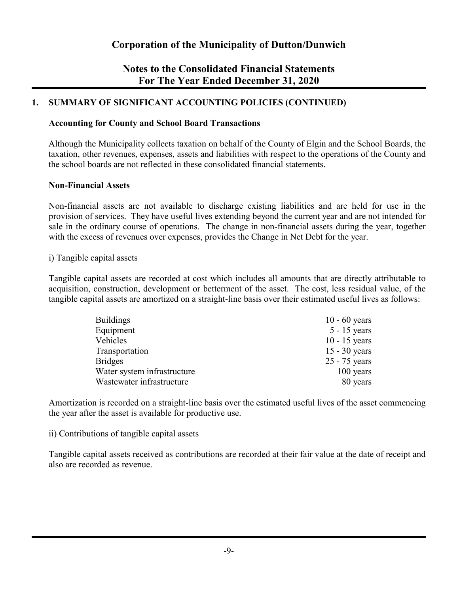## **Notes to the Consolidated Financial Statements For The Year Ended December 31, 2020**

### **1. SUMMARY OF SIGNIFICANT ACCOUNTING POLICIES (CONTINUED)**

### **Accounting for County and School Board Transactions**

Although the Municipality collects taxation on behalf of the County of Elgin and the School Boards, the taxation, other revenues, expenses, assets and liabilities with respect to the operations of the County and the school boards are not reflected in these consolidated financial statements.

### **Non-Financial Assets**

Non-financial assets are not available to discharge existing liabilities and are held for use in the provision of services. They have useful lives extending beyond the current year and are not intended for sale in the ordinary course of operations. The change in non-financial assets during the year, together with the excess of revenues over expenses, provides the Change in Net Debt for the year.

#### i) Tangible capital assets

Tangible capital assets are recorded at cost which includes all amounts that are directly attributable to acquisition, construction, development or betterment of the asset. The cost, less residual value, of the tangible capital assets are amortized on a straight-line basis over their estimated useful lives as follows:

| $10 - 60$ years |
|-----------------|
| $5 - 15$ years  |
| $10 - 15$ years |
| $15 - 30$ years |
| 25 - 75 years   |
| 100 years       |
| 80 years        |
|                 |

Amortization is recorded on a straight-line basis over the estimated useful lives of the asset commencing the year after the asset is available for productive use.

#### ii) Contributions of tangible capital assets

Tangible capital assets received as contributions are recorded at their fair value at the date of receipt and also are recorded as revenue.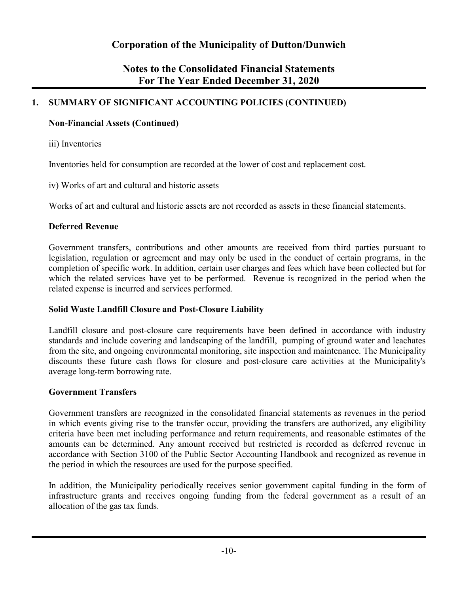## **Notes to the Consolidated Financial Statements For The Year Ended December 31, 2020**

## **1. SUMMARY OF SIGNIFICANT ACCOUNTING POLICIES (CONTINUED)**

### **Non-Financial Assets (Continued)**

iii) Inventories

Inventories held for consumption are recorded at the lower of cost and replacement cost.

iv) Works of art and cultural and historic assets

Works of art and cultural and historic assets are not recorded as assets in these financial statements.

### **Deferred Revenue**

Government transfers, contributions and other amounts are received from third parties pursuant to legislation, regulation or agreement and may only be used in the conduct of certain programs, in the completion of specific work. In addition, certain user charges and fees which have been collected but for which the related services have yet to be performed. Revenue is recognized in the period when the related expense is incurred and services performed.

### **Solid Waste Landfill Closure and Post-Closure Liability**

Landfill closure and post-closure care requirements have been defined in accordance with industry standards and include covering and landscaping of the landfill, pumping of ground water and leachates from the site, and ongoing environmental monitoring, site inspection and maintenance. The Municipality discounts these future cash flows for closure and post-closure care activities at the Municipality's average long-term borrowing rate.

### **Government Transfers**

Government transfers are recognized in the consolidated financial statements as revenues in the period in which events giving rise to the transfer occur, providing the transfers are authorized, any eligibility criteria have been met including performance and return requirements, and reasonable estimates of the amounts can be determined. Any amount received but restricted is recorded as deferred revenue in accordance with Section 3100 of the Public Sector Accounting Handbook and recognized as revenue in the period in which the resources are used for the purpose specified.

In addition, the Municipality periodically receives senior government capital funding in the form of infrastructure grants and receives ongoing funding from the federal government as a result of an allocation of the gas tax funds.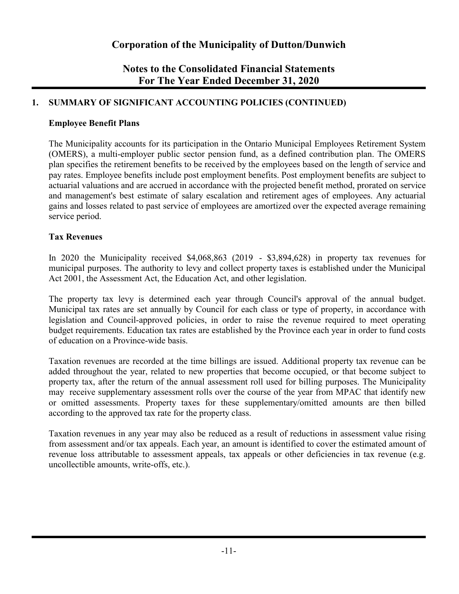## **Notes to the Consolidated Financial Statements For The Year Ended December 31, 2020**

### **1. SUMMARY OF SIGNIFICANT ACCOUNTING POLICIES (CONTINUED)**

### **Employee Benefit Plans**

The Municipality accounts for its participation in the Ontario Municipal Employees Retirement System (OMERS), a multi-employer public sector pension fund, as a defined contribution plan. The OMERS plan specifies the retirement benefits to be received by the employees based on the length of service and pay rates. Employee benefits include post employment benefits. Post employment benefits are subject to actuarial valuations and are accrued in accordance with the projected benefit method, prorated on service and management's best estimate of salary escalation and retirement ages of employees. Any actuarial gains and losses related to past service of employees are amortized over the expected average remaining service period.

### **Tax Revenues**

In 2020 the Municipality received \$4,068,863 (2019 - \$3,894,628) in property tax revenues for municipal purposes. The authority to levy and collect property taxes is established under the Municipal Act 2001, the Assessment Act, the Education Act, and other legislation.

The property tax levy is determined each year through Council's approval of the annual budget. Municipal tax rates are set annually by Council for each class or type of property, in accordance with legislation and Council-approved policies, in order to raise the revenue required to meet operating budget requirements. Education tax rates are established by the Province each year in order to fund costs of education on a Province-wide basis.

Taxation revenues are recorded at the time billings are issued. Additional property tax revenue can be added throughout the year, related to new properties that become occupied, or that become subject to property tax, after the return of the annual assessment roll used for billing purposes. The Municipality may receive supplementary assessment rolls over the course of the year from MPAC that identify new or omitted assessments. Property taxes for these supplementary/omitted amounts are then billed according to the approved tax rate for the property class.

Taxation revenues in any year may also be reduced as a result of reductions in assessment value rising from assessment and/or tax appeals. Each year, an amount is identified to cover the estimated amount of revenue loss attributable to assessment appeals, tax appeals or other deficiencies in tax revenue (e.g. uncollectible amounts, write-offs, etc.).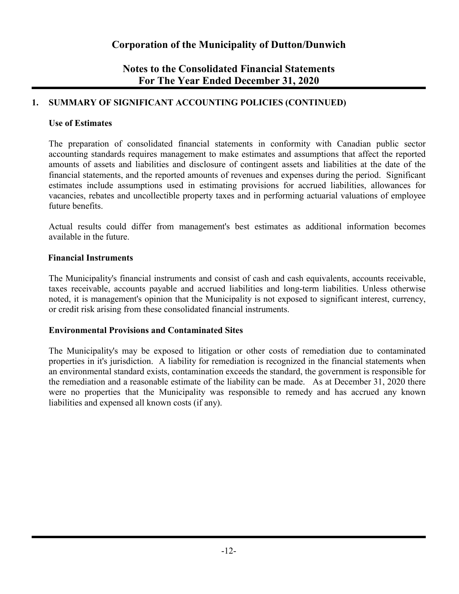## **Notes to the Consolidated Financial Statements For The Year Ended December 31, 2020**

### **1. SUMMARY OF SIGNIFICANT ACCOUNTING POLICIES (CONTINUED)**

### **Use of Estimates**

The preparation of consolidated financial statements in conformity with Canadian public sector accounting standards requires management to make estimates and assumptions that affect the reported amounts of assets and liabilities and disclosure of contingent assets and liabilities at the date of the financial statements, and the reported amounts of revenues and expenses during the period. Significant estimates include assumptions used in estimating provisions for accrued liabilities, allowances for vacancies, rebates and uncollectible property taxes and in performing actuarial valuations of employee future benefits.

Actual results could differ from management's best estimates as additional information becomes available in the future.

### **Financial Instruments**

The Municipality's financial instruments and consist of cash and cash equivalents, accounts receivable, taxes receivable, accounts payable and accrued liabilities and long-term liabilities. Unless otherwise noted, it is management's opinion that the Municipality is not exposed to significant interest, currency, or credit risk arising from these consolidated financial instruments.

### **Environmental Provisions and Contaminated Sites**

The Municipality's may be exposed to litigation or other costs of remediation due to contaminated properties in it's jurisdiction. A liability for remediation is recognized in the financial statements when an environmental standard exists, contamination exceeds the standard, the government is responsible for the remediation and a reasonable estimate of the liability can be made. As at December 31, 2020 there were no properties that the Municipality was responsible to remedy and has accrued any known liabilities and expensed all known costs (if any).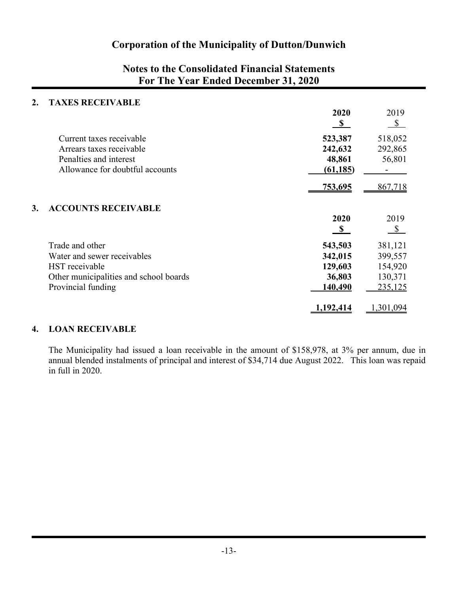## **Notes to the Consolidated Financial Statements For The Year Ended December 31, 2020**

### **2. TAXES RECEIVABLE**

|                                        | 2020<br>$\mathbf{s}$ | 2019<br>$\mathbb{S}$ |
|----------------------------------------|----------------------|----------------------|
| Current taxes receivable               | 523,387              | 518,052              |
| Arrears taxes receivable               | 242,632              | 292,865              |
| Penalties and interest                 | 48,861               | 56,801               |
| Allowance for doubtful accounts        | (61, 185)            |                      |
|                                        | 753,695              | 867,718              |
| <b>ACCOUNTS RECEIVABLE</b><br>3.       |                      |                      |
|                                        | 2020                 | 2019                 |
|                                        | <b>S</b>             | $\mathbb{S}$         |
| Trade and other                        | 543,503              | 381,121              |
| Water and sewer receivables            | 342,015              | 399,557              |
| HST receivable                         | 129,603              | 154,920              |
| Other municipalities and school boards | 36,803               | 130,371              |
| Provincial funding                     | 140,490              | 235,125              |
|                                        | 1,192,414            | 1,301,094            |

### **4. LOAN RECEIVABLE**

The Municipality had issued a loan receivable in the amount of \$158,978, at 3% per annum, due in annual blended instalments of principal and interest of \$34,714 due August 2022. This loan was repaid in full in 2020.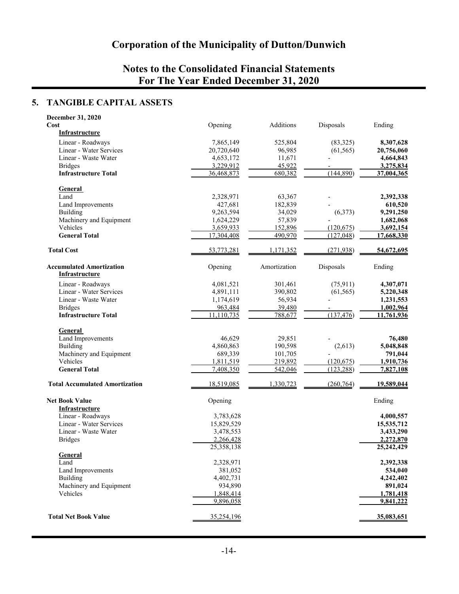## **Notes to the Consolidated Financial Statements For The Year Ended December 31, 2020**

## **5. TANGIBLE CAPITAL ASSETS**

| December 31, 2020                                        |            |              |            |                  |
|----------------------------------------------------------|------------|--------------|------------|------------------|
| Cost                                                     | Opening    | Additions    | Disposals  | Ending           |
| <b>Infrastructure</b>                                    |            |              |            |                  |
| Linear - Roadways                                        | 7,865,149  | 525,804      | (83, 325)  | 8,307,628        |
| Linear - Water Services                                  | 20,720,640 | 96,985       | (61, 565)  | 20,756,060       |
| Linear - Waste Water                                     | 4,653,172  | 11,671       |            | 4,664,843        |
| <b>Bridges</b>                                           | 3,229,912  | 45,922       |            | 3,275,834        |
| <b>Infrastructure Total</b>                              | 36,468,873 | 680,382      | (144,890)  | 37,004,365       |
|                                                          |            |              |            |                  |
| <b>General</b>                                           |            |              |            |                  |
| Land                                                     | 2,328,971  | 63,367       |            | 2,392,338        |
| Land Improvements                                        | 427,681    | 182,839      |            | 610,520          |
| <b>Building</b>                                          | 9,263,594  | 34,029       | (6,373)    | 9,291,250        |
| Machinery and Equipment                                  | 1,624,229  | 57,839       |            | 1,682,068        |
| Vehicles                                                 | 3,659,933  | 152,896      | (120, 675) | 3,692,154        |
| <b>General Total</b>                                     | 17,304,408 | 490,970      | (127, 048) | 17,668,330       |
|                                                          |            |              |            |                  |
| <b>Total Cost</b>                                        | 53,773,281 | 1,171,352    | (271, 938) | 54,672,695       |
| <b>Accumulated Amortization</b><br><b>Infrastructure</b> | Opening    | Amortization | Disposals  | Ending           |
| Linear - Roadways                                        | 4,081,521  | 301,461      | (75, 911)  | 4,307,071        |
| Linear - Water Services                                  | 4,891,111  | 390,802      | (61, 565)  | 5,220,348        |
| Linear - Waste Water                                     | 1,174,619  | 56,934       |            | 1,231,553        |
| <b>Bridges</b>                                           | 963,484    | 39,480       |            | 1,002,964        |
| <b>Infrastructure Total</b>                              | 11,110,735 | 788,677      | (137, 476) | 11,761,936       |
|                                                          |            |              |            |                  |
| <b>General</b>                                           |            |              |            |                  |
| Land Improvements                                        | 46,629     | 29,851       |            | 76,480           |
| <b>Building</b>                                          | 4,860,863  | 190,598      | (2,613)    | 5,048,848        |
| Machinery and Equipment                                  | 689,339    | 101,705      |            | 791,044          |
| Vehicles                                                 | 1,811,519  | 219,892      | (120, 675) | 1,910,736        |
| <b>General Total</b>                                     | 7,408,350  | 542,046      | (123, 288) | 7,827,108        |
|                                                          |            |              |            |                  |
| <b>Total Accumulated Amortization</b>                    | 18,519,085 | 1,330,723    | (260, 764) | 19,589,044       |
| <b>Net Book Value</b><br><b>Infrastructure</b>           | Opening    |              |            | Ending           |
| Linear - Roadways                                        | 3,783,628  |              |            | 4,000,557        |
| Linear - Water Services                                  | 15,829,529 |              |            | 15,535,712       |
| Linear - Waste Water                                     | 3,478,553  |              |            | 3,433,290        |
| <b>Bridges</b>                                           | 2,266,428  |              |            | 2,272,870        |
|                                                          | 25,358,138 |              |            | 25,242,429       |
| General                                                  |            |              |            |                  |
| Land                                                     | 2,328,971  |              |            | 2,392,338        |
| Land Improvements                                        | 381,052    |              |            | 534,040          |
| <b>Building</b>                                          | 4,402,731  |              |            | 4,242,402        |
| Machinery and Equipment                                  | 934,890    |              |            | 891,024          |
| Vehicles                                                 | 1,848,414  |              |            | <u>1,781,418</u> |
|                                                          | 9,896,058  |              |            | 9,841,222        |
| <b>Total Net Book Value</b>                              | 35,254,196 |              |            | 35,083,651       |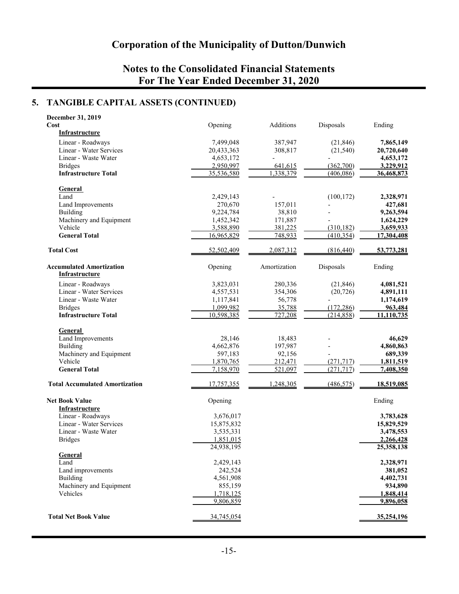## **Notes to the Consolidated Financial Statements For The Year Ended December 31, 2020**

### **5. TANGIBLE CAPITAL ASSETS (CONTINUED)**

| December 31, 2019                     |            |              |            |            |
|---------------------------------------|------------|--------------|------------|------------|
| Cost                                  | Opening    | Additions    | Disposals  | Ending     |
| <b>Infrastructure</b>                 |            |              |            |            |
| Linear - Roadways                     | 7,499,048  | 387,947      | (21, 846)  | 7,865,149  |
| Linear - Water Services               | 20,433,363 | 308,817      | (21, 540)  | 20,720,640 |
| Linear - Waste Water                  | 4,653,172  |              |            | 4,653,172  |
|                                       |            |              |            |            |
| <b>Bridges</b>                        | 2,950,997  | 641,615      | (362,700)  | 3,229,912  |
| <b>Infrastructure Total</b>           | 35,536,580 | 1,338,379    | (406, 086) | 36,468,873 |
|                                       |            |              |            |            |
| <b>General</b>                        |            |              |            |            |
| Land                                  | 2,429,143  |              | (100, 172) | 2,328,971  |
| Land Improvements                     | 270,670    | 157,011      |            | 427,681    |
| <b>Building</b>                       | 9,224,784  | 38,810       |            | 9,263,594  |
| Machinery and Equipment               | 1,452,342  | 171,887      |            | 1,624,229  |
| Vehicle                               | 3,588,890  | 381,225      | (310, 182) | 3,659,933  |
| <b>General Total</b>                  | 16,965,829 | 748,933      | (410, 354) | 17,304,408 |
| <b>Total Cost</b>                     | 52,502,409 | 2,087,312    | (816, 440) | 53,773,281 |
| <b>Accumulated Amortization</b>       | Opening    | Amortization | Disposals  | Ending     |
| <b>Infrastructure</b>                 |            |              |            |            |
|                                       |            |              |            |            |
| Linear - Roadways                     | 3,823,031  | 280,336      | (21, 846)  | 4,081,521  |
| Linear - Water Services               | 4,557,531  | 354,306      | (20, 726)  | 4,891,111  |
| Linear - Waste Water                  | 1,117,841  | 56,778       |            | 1,174,619  |
| <b>Bridges</b>                        | 1,099,982  | 35,788       | (172, 286) | 963,484    |
| <b>Infrastructure Total</b>           | 10,598,385 | 727,208      | (214, 858) | 11,110,735 |
|                                       |            |              |            |            |
| General                               |            |              |            |            |
| Land Improvements                     | 28,146     | 18,483       |            | 46,629     |
| <b>Building</b>                       | 4,662,876  | 197,987      |            | 4,860,863  |
| Machinery and Equipment               | 597,183    | 92,156       |            | 689,339    |
| Vehicle                               | 1,870,765  | 212,471      | (271, 717) | 1,811,519  |
| <b>General Total</b>                  | 7,158,970  | 521,097      | (271, 717) | 7,408,350  |
| <b>Total Accumulated Amortization</b> | 17,757,355 | 1,248,305    | (486, 575) | 18,519,085 |
|                                       |            |              |            |            |
| <b>Net Book Value</b>                 | Opening    |              |            | Ending     |
| <b>Infrastructure</b>                 |            |              |            |            |
| Linear - Roadways                     | 3,676,017  |              |            | 3,783,628  |
| Linear - Water Services               | 15,875,832 |              |            | 15,829,529 |
| Linear - Waste Water                  | 3,535,331  |              |            | 3,478,553  |
| <b>Bridges</b>                        | 1,851,015  |              |            | 2,266,428  |
|                                       | 24,938,195 |              |            | 25,358,138 |
| General                               |            |              |            |            |
| Land                                  | 2,429,143  |              |            | 2,328,971  |
| Land improvements                     | 242,524    |              |            | 381,052    |
| <b>Building</b>                       | 4,561,908  |              |            | 4,402,731  |
| Machinery and Equipment               | 855,159    |              |            | 934,890    |
| Vehicles                              | 1,718,125  |              |            | 1,848,414  |
|                                       | 9,806,859  |              |            | 9,896,058  |
|                                       |            |              |            |            |
| <b>Total Net Book Value</b>           | 34,745,054 |              |            | 35,254,196 |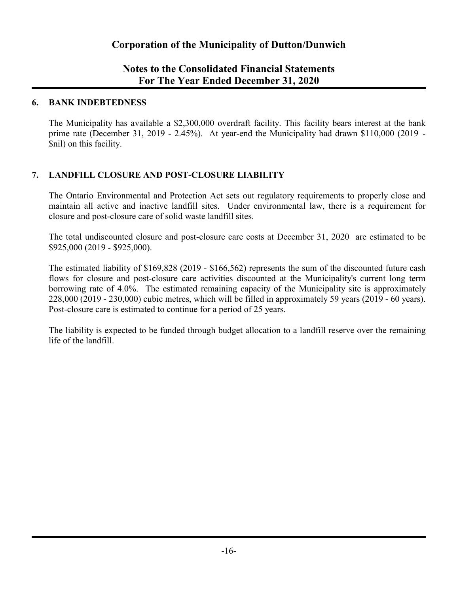## **Notes to the Consolidated Financial Statements For The Year Ended December 31, 2020**

### **6. BANK INDEBTEDNESS**

The Municipality has available a \$2,300,000 overdraft facility. This facility bears interest at the bank prime rate (December 31, 2019 - 2.45%). At year-end the Municipality had drawn \$110,000 (2019 - \$nil) on this facility.

### **7. LANDFILL CLOSURE AND POST-CLOSURE LIABILITY**

The Ontario Environmental and Protection Act sets out regulatory requirements to properly close and maintain all active and inactive landfill sites. Under environmental law, there is a requirement for closure and post-closure care of solid waste landfill sites.

The total undiscounted closure and post-closure care costs at December 31, 2020 are estimated to be \$925,000 (2019 - \$925,000).

The estimated liability of \$169,828 (2019 - \$166,562) represents the sum of the discounted future cash flows for closure and post-closure care activities discounted at the Municipality's current long term borrowing rate of 4.0%. The estimated remaining capacity of the Municipality site is approximately 228,000 (2019 - 230,000) cubic metres, which will be filled in approximately 59 years (2019 - 60 years). Post-closure care is estimated to continue for a period of 25 years.

The liability is expected to be funded through budget allocation to a landfill reserve over the remaining life of the landfill.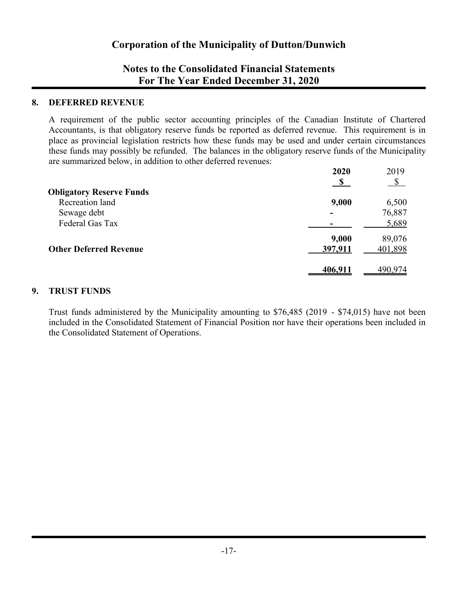## **Notes to the Consolidated Financial Statements For The Year Ended December 31, 2020**

### **8. DEFERRED REVENUE**

A requirement of the public sector accounting principles of the Canadian Institute of Chartered Accountants, is that obligatory reserve funds be reported as deferred revenue. This requirement is in place as provincial legislation restricts how these funds may be used and under certain circumstances these funds may possibly be refunded. The balances in the obligatory reserve funds of the Municipality are summarized below, in addition to other deferred revenues:

|                                 | 2020    | 2019         |
|---------------------------------|---------|--------------|
|                                 |         | $\mathbb{S}$ |
| <b>Obligatory Reserve Funds</b> |         |              |
| Recreation land                 | 9,000   | 6,500        |
| Sewage debt                     |         | 76,887       |
| Federal Gas Tax                 |         | 5,689        |
|                                 | 9,000   | 89,076       |
| <b>Other Deferred Revenue</b>   | 397,911 | 401,898      |
|                                 |         |              |
|                                 | 406,911 | 490,974      |

### **9. TRUST FUNDS**

Trust funds administered by the Municipality amounting to \$76,485 (2019 - \$74,015) have not been included in the Consolidated Statement of Financial Position nor have their operations been included in the Consolidated Statement of Operations.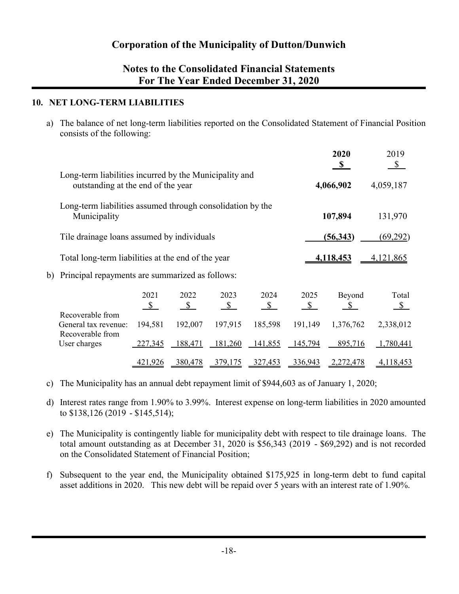## **Notes to the Consolidated Financial Statements For The Year Ended December 31, 2020**

### **10. NET LONG-TERM LIABILITIES**

a) The balance of net long-term liabilities reported on the Consolidated Statement of Financial Position consists of the following:

|    |                                                                                              |                       |                       |                       |                       |                       | 2020<br><sup>\$</sup>  | 2019<br>$\mathbb{S}$   |
|----|----------------------------------------------------------------------------------------------|-----------------------|-----------------------|-----------------------|-----------------------|-----------------------|------------------------|------------------------|
|    | Long-term liabilities incurred by the Municipality and<br>outstanding at the end of the year |                       |                       |                       |                       |                       | 4,066,902              | 4,059,187              |
|    | Long-term liabilities assumed through consolidation by the<br>Municipality                   |                       |                       |                       |                       |                       | 107,894                | 131,970                |
|    | Tile drainage loans assumed by individuals                                                   |                       |                       |                       |                       |                       | (56, 343)              | (69,292)               |
|    | Total long-term liabilities at the end of the year                                           |                       |                       |                       |                       |                       | 4,118,453              | 4,121,865              |
| b) | Principal repayments are summarized as follows:                                              |                       |                       |                       |                       |                       |                        |                        |
|    |                                                                                              | 2021<br>$\mathcal{S}$ | 2022<br>$\mathcal{S}$ | 2023<br>$\mathcal{S}$ | 2024<br>$\mathcal{S}$ | 2025<br>$\mathcal{S}$ | Beyond<br><sup>S</sup> | Total<br>$\mathcal{S}$ |
|    | Recoverable from<br>General tax revenue:                                                     | 194,581               | 192,007               | 197,915               | 185,598               | 191,149               | 1,376,762              | 2,338,012              |
|    | Recoverable from<br>User charges                                                             | 227,345               | 188,471               | 181,260               | 141,855               | 145,794               | 895,716                | 1,780,441              |
|    |                                                                                              | <u>421,926</u>        | 380,478               | 379,175               | 327,453               | 336,943               | <u>2,272,478</u>       | 4,118,453              |

- c) The Municipality has an annual debt repayment limit of \$944,603 as of January 1, 2020;
- d) Interest rates range from 1.90% to 3.99%. Interest expense on long-term liabilities in 2020 amounted to \$138,126 (2019 - \$145,514);
- e) The Municipality is contingently liable for municipality debt with respect to tile drainage loans. The total amount outstanding as at December 31, 2020 is \$56,343 (2019 - \$69,292) and is not recorded on the Consolidated Statement of Financial Position;
- f) Subsequent to the year end, the Municipality obtained \$175,925 in long-term debt to fund capital asset additions in 2020. This new debt will be repaid over 5 years with an interest rate of 1.90%.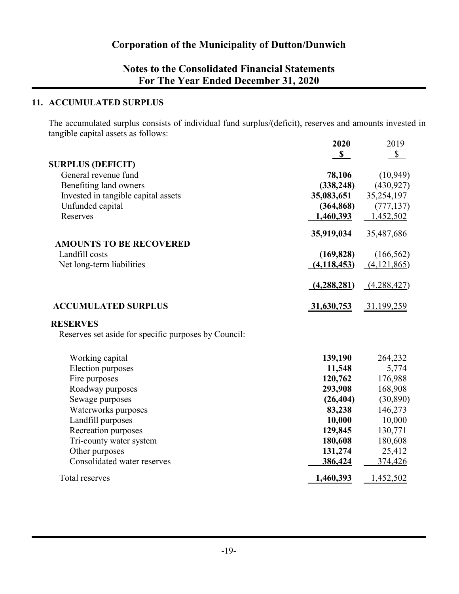## **Notes to the Consolidated Financial Statements For The Year Ended December 31, 2020**

### **11. ACCUMULATED SURPLUS**

The accumulated surplus consists of individual fund surplus/(deficit), reserves and amounts invested in tangible capital assets as follows: **2020** 2019

|                                                      | ZUZU          | 2019              |
|------------------------------------------------------|---------------|-------------------|
|                                                      | $\mathbf S$   | $\mathbb{S}$      |
| <b>SURPLUS (DEFICIT)</b>                             |               |                   |
| General revenue fund                                 | 78,106        | (10, 949)         |
| Benefiting land owners                               | (338, 248)    | (430, 927)        |
| Invested in tangible capital assets                  | 35,083,651    | 35,254,197        |
| Unfunded capital                                     | (364, 868)    | (777, 137)        |
| Reserves                                             | 1,460,393     | 1,452,502         |
|                                                      | 35,919,034    | 35,487,686        |
| <b>AMOUNTS TO BE RECOVERED</b>                       |               |                   |
| Landfill costs                                       | (169, 828)    | (166, 562)        |
| Net long-term liabilities                            | (4, 118, 453) | (4,121,865)       |
|                                                      | (4, 288, 281) | (4,288,427)       |
| <b>ACCUMULATED SURPLUS</b>                           | 31,630,753    | <u>31,199,259</u> |
| <b>RESERVES</b>                                      |               |                   |
| Reserves set aside for specific purposes by Council: |               |                   |
| Working capital                                      | 139,190       | 264,232           |
| Election purposes                                    | 11,548        | 5,774             |
| Fire purposes                                        | 120,762       | 176,988           |
| Roadway purposes                                     | 293,908       | 168,908           |
| Sewage purposes                                      | (26, 404)     | (30, 890)         |
| Waterworks purposes                                  | 83,238        | 146,273           |
| Landfill purposes                                    | 10,000        | 10,000            |
| Recreation purposes                                  | 129,845       | 130,771           |
| Tri-county water system                              | 180,608       | 180,608           |
| Other purposes                                       | 131,274       | 25,412            |
| Consolidated water reserves                          | 386,424       | 374,426           |
| Total reserves                                       | 1,460,393     | 1,452,502         |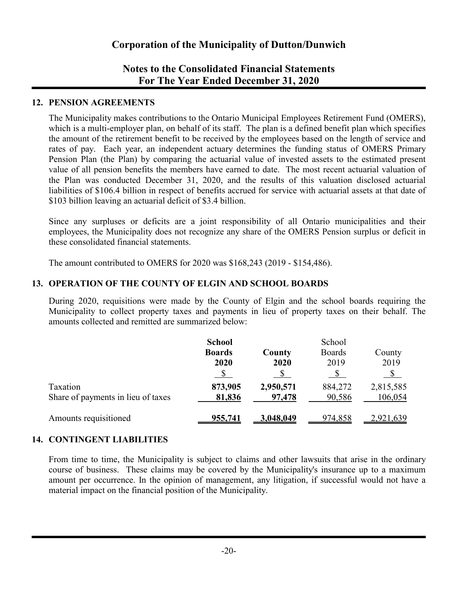## **Notes to the Consolidated Financial Statements For The Year Ended December 31, 2020**

### **12. PENSION AGREEMENTS**

The Municipality makes contributions to the Ontario Municipal Employees Retirement Fund (OMERS), which is a multi-employer plan, on behalf of its staff. The plan is a defined benefit plan which specifies the amount of the retirement benefit to be received by the employees based on the length of service and rates of pay. Each year, an independent actuary determines the funding status of OMERS Primary Pension Plan (the Plan) by comparing the actuarial value of invested assets to the estimated present value of all pension benefits the members have earned to date. The most recent actuarial valuation of the Plan was conducted December 31, 2020, and the results of this valuation disclosed actuarial liabilities of \$106.4 billion in respect of benefits accrued for service with actuarial assets at that date of \$103 billion leaving an actuarial deficit of \$3.4 billion.

Since any surpluses or deficits are a joint responsibility of all Ontario municipalities and their employees, the Municipality does not recognize any share of the OMERS Pension surplus or deficit in these consolidated financial statements.

The amount contributed to OMERS for 2020 was \$168,243 (2019 - \$154,486).

### **13. OPERATION OF THE COUNTY OF ELGIN AND SCHOOL BOARDS**

During 2020, requisitions were made by the County of Elgin and the school boards requiring the Municipality to collect property taxes and payments in lieu of property taxes on their behalf. The amounts collected and remitted are summarized below:

|                                                | <b>School</b><br><b>Boards</b><br>2020 | County<br>2020      | School<br><b>Boards</b><br>2019 | County<br>2019       |
|------------------------------------------------|----------------------------------------|---------------------|---------------------------------|----------------------|
| Taxation<br>Share of payments in lieu of taxes | 873,905<br>81,836                      | 2,950,571<br>97,478 | 884,272<br>90,586               | 2,815,585<br>106,054 |
| Amounts requisitioned                          | 955,741                                | 3,048,049           | 974,858                         | 2,921,639            |

### **14. CONTINGENT LIABILITIES**

From time to time, the Municipality is subject to claims and other lawsuits that arise in the ordinary course of business. These claims may be covered by the Municipality's insurance up to a maximum amount per occurrence. In the opinion of management, any litigation, if successful would not have a material impact on the financial position of the Municipality.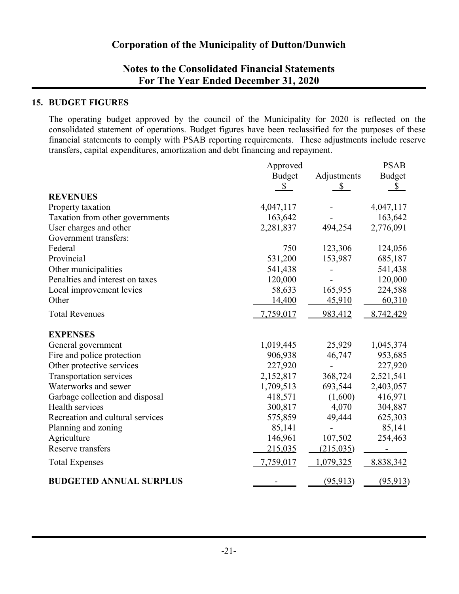## **Notes to the Consolidated Financial Statements For The Year Ended December 31, 2020**

### **15. BUDGET FIGURES**

The operating budget approved by the council of the Municipality for 2020 is reflected on the consolidated statement of operations. Budget figures have been reclassified for the purposes of these financial statements to comply with PSAB reporting requirements. These adjustments include reserve transfers, capital expenditures, amortization and debt financing and repayment.

|                                  | Approved      | <b>PSAB</b>   |           |
|----------------------------------|---------------|---------------|-----------|
|                                  | <b>Budget</b> | <b>Budget</b> |           |
|                                  | \$            | $\mathbb{S}$  | \$        |
| <b>REVENUES</b>                  |               |               |           |
| Property taxation                | 4,047,117     |               | 4,047,117 |
| Taxation from other governments  | 163,642       |               | 163,642   |
| User charges and other           | 2,281,837     | 494,254       | 2,776,091 |
| Government transfers:            |               |               |           |
| Federal                          | 750           | 123,306       | 124,056   |
| Provincial                       | 531,200       | 153,987       | 685,187   |
| Other municipalities             | 541,438       |               | 541,438   |
| Penalties and interest on taxes  | 120,000       |               | 120,000   |
| Local improvement levies         | 58,633        | 165,955       | 224,588   |
| Other                            | 14,400        | 45,910        | 60,310    |
| <b>Total Revenues</b>            | 7,759,017     | 983,412       | 8,742,429 |
| <b>EXPENSES</b>                  |               |               |           |
| General government               | 1,019,445     | 25,929        | 1,045,374 |
| Fire and police protection       | 906,938       | 46,747        | 953,685   |
| Other protective services        | 227,920       |               | 227,920   |
| Transportation services          | 2,152,817     | 368,724       | 2,521,541 |
| Waterworks and sewer             | 1,709,513     | 693,544       | 2,403,057 |
| Garbage collection and disposal  | 418,571       | (1,600)       | 416,971   |
| Health services                  | 300,817       | 4,070         | 304,887   |
| Recreation and cultural services | 575,859       | 49,444        | 625,303   |
| Planning and zoning              | 85,141        |               | 85,141    |
| Agriculture                      | 146,961       | 107,502       | 254,463   |
| Reserve transfers                | 215,035       | (215, 035)    |           |
| <b>Total Expenses</b>            | 7,759,017     | 1,079,325     | 8,838,342 |
| <b>BUDGETED ANNUAL SURPLUS</b>   |               | (95, 913)     | (95, 913) |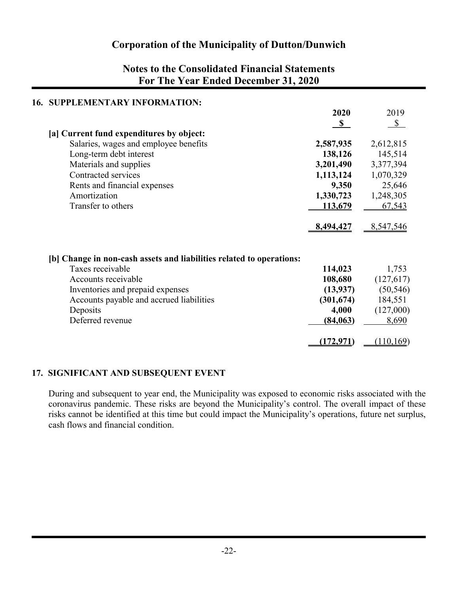## **Notes to the Consolidated Financial Statements For The Year Ended December 31, 2020**

| 16. | <b>SUPPLEMENTARY INFORMATION:</b>                                    |              |              |
|-----|----------------------------------------------------------------------|--------------|--------------|
|     |                                                                      | 2020         | 2019         |
|     |                                                                      | $\mathbf{s}$ | $\mathbb{S}$ |
|     | [a] Current fund expenditures by object:                             |              |              |
|     | Salaries, wages and employee benefits                                | 2,587,935    | 2,612,815    |
|     | Long-term debt interest                                              | 138,126      | 145,514      |
|     | Materials and supplies                                               | 3,201,490    | 3,377,394    |
|     | Contracted services                                                  | 1,113,124    | 1,070,329    |
|     | Rents and financial expenses                                         | 9,350        | 25,646       |
|     | Amortization                                                         | 1,330,723    | 1,248,305    |
|     | Transfer to others                                                   | 113,679      | 67,543       |
|     |                                                                      |              |              |
|     |                                                                      | 8,494,427    | 8,547,546    |
|     |                                                                      |              |              |
|     | [b] Change in non-cash assets and liabilities related to operations: |              |              |
|     | Taxes receivable                                                     | 114,023      | 1,753        |
|     | Accounts receivable                                                  | 108,680      | (127,617)    |
|     | Inventories and prepaid expenses                                     | (13, 937)    | (50, 546)    |
|     | Accounts payable and accrued liabilities                             | (301, 674)   | 184,551      |
|     | Deposits                                                             | 4,000        | (127,000)    |
|     | Deferred revenue                                                     | (84, 063)    | 8,690        |
|     |                                                                      |              |              |
|     |                                                                      | (172, 971)   | (110,169)    |

### **17. SIGNIFICANT AND SUBSEQUENT EVENT**

During and subsequent to year end, the Municipality was exposed to economic risks associated with the coronavirus pandemic. These risks are beyond the Municipality's control. The overall impact of these risks cannot be identified at this time but could impact the Municipality's operations, future net surplus, cash flows and financial condition.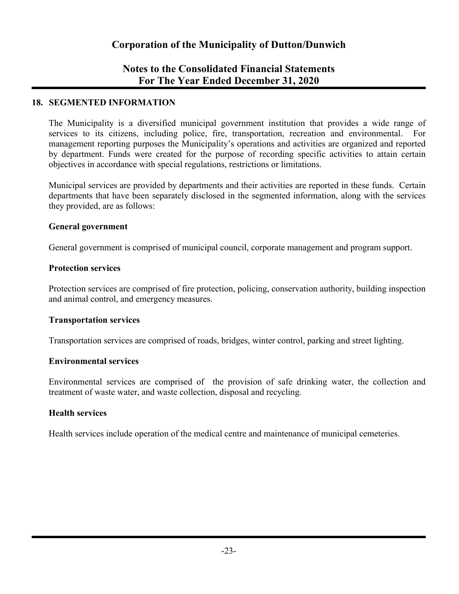## **Notes to the Consolidated Financial Statements For The Year Ended December 31, 2020**

### **18. SEGMENTED INFORMATION**

The Municipality is a diversified municipal government institution that provides a wide range of services to its citizens, including police, fire, transportation, recreation and environmental. For management reporting purposes the Municipality's operations and activities are organized and reported by department. Funds were created for the purpose of recording specific activities to attain certain objectives in accordance with special regulations, restrictions or limitations.

Municipal services are provided by departments and their activities are reported in these funds. Certain departments that have been separately disclosed in the segmented information, along with the services they provided, are as follows:

### **General government**

General government is comprised of municipal council, corporate management and program support.

### **Protection services**

Protection services are comprised of fire protection, policing, conservation authority, building inspection and animal control, and emergency measures.

### **Transportation services**

Transportation services are comprised of roads, bridges, winter control, parking and street lighting.

### **Environmental services**

Environmental services are comprised of the provision of safe drinking water, the collection and treatment of waste water, and waste collection, disposal and recycling.

### **Health services**

Health services include operation of the medical centre and maintenance of municipal cemeteries.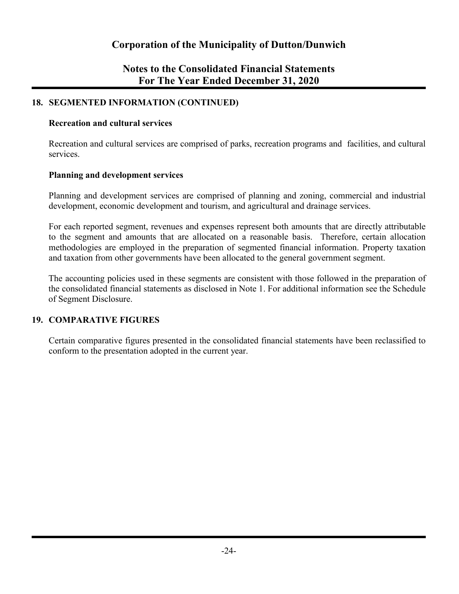## **Notes to the Consolidated Financial Statements For The Year Ended December 31, 2020**

### **18. SEGMENTED INFORMATION (CONTINUED)**

### **Recreation and cultural services**

Recreation and cultural services are comprised of parks, recreation programs and facilities, and cultural services.

### **Planning and development services**

Planning and development services are comprised of planning and zoning, commercial and industrial development, economic development and tourism, and agricultural and drainage services.

For each reported segment, revenues and expenses represent both amounts that are directly attributable to the segment and amounts that are allocated on a reasonable basis. Therefore, certain allocation methodologies are employed in the preparation of segmented financial information. Property taxation and taxation from other governments have been allocated to the general government segment.

The accounting policies used in these segments are consistent with those followed in the preparation of the consolidated financial statements as disclosed in Note 1. For additional information see the Schedule of Segment Disclosure.

### **19. COMPARATIVE FIGURES**

Certain comparative figures presented in the consolidated financial statements have been reclassified to conform to the presentation adopted in the current year.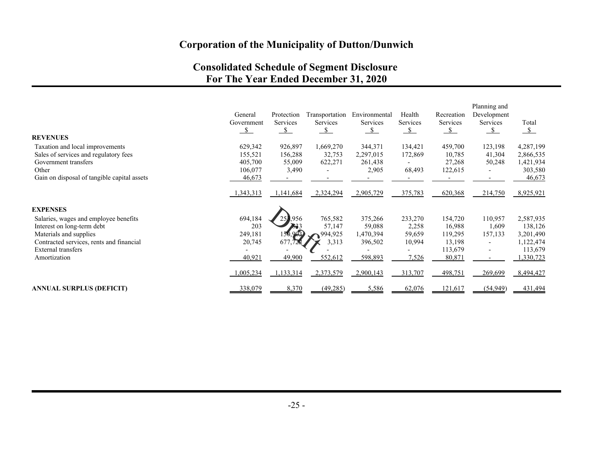## **Consolidated Schedule of Segment Disclosure For The Year Ended December 31, 2020**

|                                             |               |               |                |               |          |                 | Planning and             |               |
|---------------------------------------------|---------------|---------------|----------------|---------------|----------|-----------------|--------------------------|---------------|
|                                             | General       | Protection    | Transportation | Environmental | Health   | Recreation      | Development              |               |
|                                             | Government    | Services      | Services       | Services      | Services | <b>Services</b> | Services                 | Total         |
|                                             | $\mathcal{S}$ | $\mathcal{S}$ | S.             | - S           | -S       | $\mathcal{S}$   | $\mathcal{S}$            | $\mathcal{S}$ |
| <b>REVENUES</b>                             |               |               |                |               |          |                 |                          |               |
| Taxation and local improvements             | 629,342       | 926,897       | 1,669,270      | 344,371       | 134,421  | 459,700         | 123,198                  | 4,287,199     |
| Sales of services and regulatory fees       | 155,521       | 156,288       | 32,753         | 2,297,015     | 172,869  | 10,785          | 41,304                   | 2,866,535     |
| Government transfers                        | 405,700       | 55,009        | 622,271        | 261,438       |          | 27,268          | 50,248                   | 1,421,934     |
| Other                                       | 106,077       | 3,490         |                | 2,905         | 68,493   | 122,615         | $\overline{\phantom{a}}$ | 303,580       |
| Gain on disposal of tangible capital assets | 46,673        |               |                |               |          |                 |                          | 46,673        |
|                                             | 1,343,313     | 1,141,684     | 2,324,294      | 2,905,729     | 375,783  | 620,368         | 214,750                  | 8,925,921     |
| <b>EXPENSES</b>                             |               |               |                |               |          |                 |                          |               |
| Salaries, wages and employee benefits       | 694,184       | 1956          | 765,582        | 375,266       | 233,270  | 154,720         | 110,957                  | 2,587,935     |
| Interest on long-term debt                  | 203           |               | 57,147         | 59,088        | 2,258    | 16,988          | 1,609                    | 138,126       |
| Materials and supplies                      | 249,181       | 150,903       | 994,925        | 1,470,394     | 59,659   | 119,295         | 157,133                  | 3,201,490     |
| Contracted services, rents and financial    | 20,745        | 677,722       | 3,313          | 396,502       | 10,994   | 13,198          |                          | 1,122,474     |
| External transfers                          |               |               |                |               |          | 113,679         | $\overline{\phantom{a}}$ | 113,679       |
| Amortization                                | 40,921        | 49,900        | 552,612        | 598,893       | 7,526    | 80,871          |                          | 330,723       |
|                                             | 1,005,234     | 1,133,314     | 2,373,579      | 2,900,143     | 313,707  | 498,751         | 269,699                  | 8,494,427     |
| <b>ANNUAL SURPLUS (DEFICIT)</b>             | 338,079       | 8,370         | (49, 285)      | 5,586         | 62,076   | 121,617         | (54, 949)                | 431,494       |